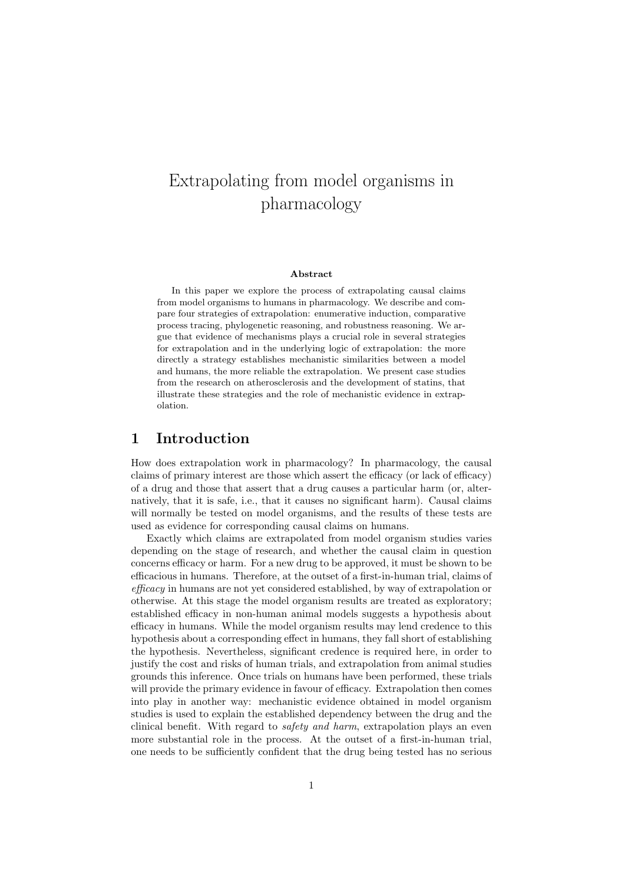# Extrapolating from model organisms in pharmacology

#### Abstract

In this paper we explore the process of extrapolating causal claims from model organisms to humans in pharmacology. We describe and compare four strategies of extrapolation: enumerative induction, comparative process tracing, phylogenetic reasoning, and robustness reasoning. We argue that evidence of mechanisms plays a crucial role in several strategies for extrapolation and in the underlying logic of extrapolation: the more directly a strategy establishes mechanistic similarities between a model and humans, the more reliable the extrapolation. We present case studies from the research on atherosclerosis and the development of statins, that illustrate these strategies and the role of mechanistic evidence in extrapolation.

### <span id="page-0-0"></span>1 Introduction

How does extrapolation work in pharmacology? In pharmacology, the causal claims of primary interest are those which assert the efficacy (or lack of efficacy) of a drug and those that assert that a drug causes a particular harm (or, alternatively, that it is safe, i.e., that it causes no significant harm). Causal claims will normally be tested on model organisms, and the results of these tests are used as evidence for corresponding causal claims on humans.

Exactly which claims are extrapolated from model organism studies varies depending on the stage of research, and whether the causal claim in question concerns efficacy or harm. For a new drug to be approved, it must be shown to be efficacious in humans. Therefore, at the outset of a first-in-human trial, claims of efficacy in humans are not yet considered established, by way of extrapolation or otherwise. At this stage the model organism results are treated as exploratory; established efficacy in non-human animal models suggests a hypothesis about efficacy in humans. While the model organism results may lend credence to this hypothesis about a corresponding effect in humans, they fall short of establishing the hypothesis. Nevertheless, significant credence is required here, in order to justify the cost and risks of human trials, and extrapolation from animal studies grounds this inference. Once trials on humans have been performed, these trials will provide the primary evidence in favour of efficacy. Extrapolation then comes into play in another way: mechanistic evidence obtained in model organism studies is used to explain the established dependency between the drug and the clinical benefit. With regard to safety and harm, extrapolation plays an even more substantial role in the process. At the outset of a first-in-human trial, one needs to be sufficiently confident that the drug being tested has no serious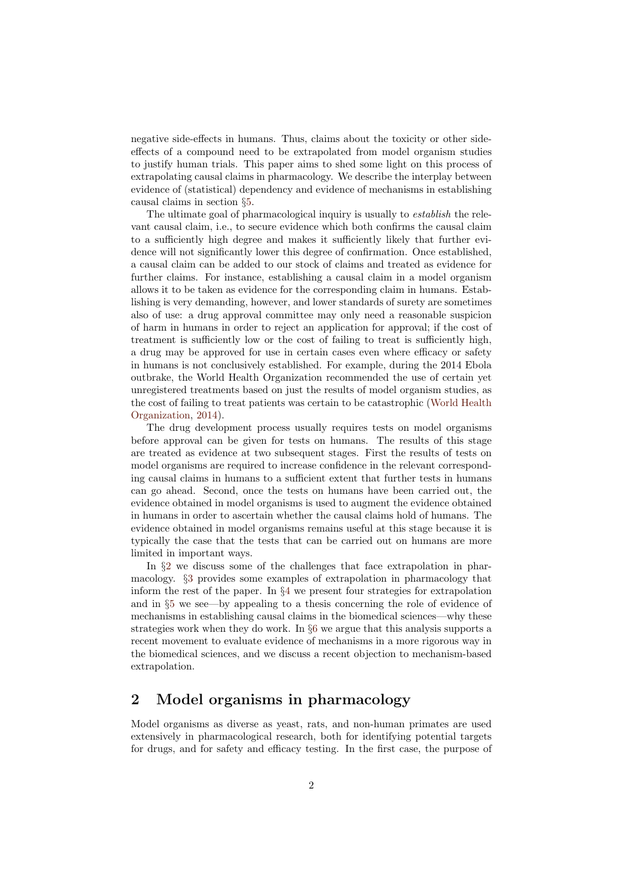negative side-effects in humans. Thus, claims about the toxicity or other sideeffects of a compound need to be extrapolated from model organism studies to justify human trials. This paper aims to shed some light on this process of extrapolating causal claims in pharmacology. We describe the interplay between evidence of (statistical) dependency and evidence of mechanisms in establishing causal claims in section §[5.](#page-10-0)

The ultimate goal of pharmacological inquiry is usually to *establish* the relevant causal claim, i.e., to secure evidence which both confirms the causal claim to a sufficiently high degree and makes it sufficiently likely that further evidence will not significantly lower this degree of confirmation. Once established, a causal claim can be added to our stock of claims and treated as evidence for further claims. For instance, establishing a causal claim in a model organism allows it to be taken as evidence for the corresponding claim in humans. Establishing is very demanding, however, and lower standards of surety are sometimes also of use: a drug approval committee may only need a reasonable suspicion of harm in humans in order to reject an application for approval; if the cost of treatment is sufficiently low or the cost of failing to treat is sufficiently high, a drug may be approved for use in certain cases even where efficacy or safety in humans is not conclusively established. For example, during the 2014 Ebola outbrake, the World Health Organization recommended the use of certain yet unregistered treatments based on just the results of model organism studies, as the cost of failing to treat patients was certain to be catastrophic [\(World Health](#page-18-0) [Organization,](#page-18-0) [2014\)](#page-18-0).

The drug development process usually requires tests on model organisms before approval can be given for tests on humans. The results of this stage are treated as evidence at two subsequent stages. First the results of tests on model organisms are required to increase confidence in the relevant corresponding causal claims in humans to a sufficient extent that further tests in humans can go ahead. Second, once the tests on humans have been carried out, the evidence obtained in model organisms is used to augment the evidence obtained in humans in order to ascertain whether the causal claims hold of humans. The evidence obtained in model organisms remains useful at this stage because it is typically the case that the tests that can be carried out on humans are more limited in important ways.

In §[2](#page-1-0) we discuss some of the challenges that face extrapolation in pharmacology. §[3](#page-3-0) provides some examples of extrapolation in pharmacology that inform the rest of the paper. In §[4](#page-6-0) we present four strategies for extrapolation and in §[5](#page-10-0) we see—by appealing to a thesis concerning the role of evidence of mechanisms in establishing causal claims in the biomedical sciences—why these strategies work when they do work. In §[6](#page-14-0) we argue that this analysis supports a recent movement to evaluate evidence of mechanisms in a more rigorous way in the biomedical sciences, and we discuss a recent objection to mechanism-based extrapolation.

# <span id="page-1-0"></span>2 Model organisms in pharmacology

Model organisms as diverse as yeast, rats, and non-human primates are used extensively in pharmacological research, both for identifying potential targets for drugs, and for safety and efficacy testing. In the first case, the purpose of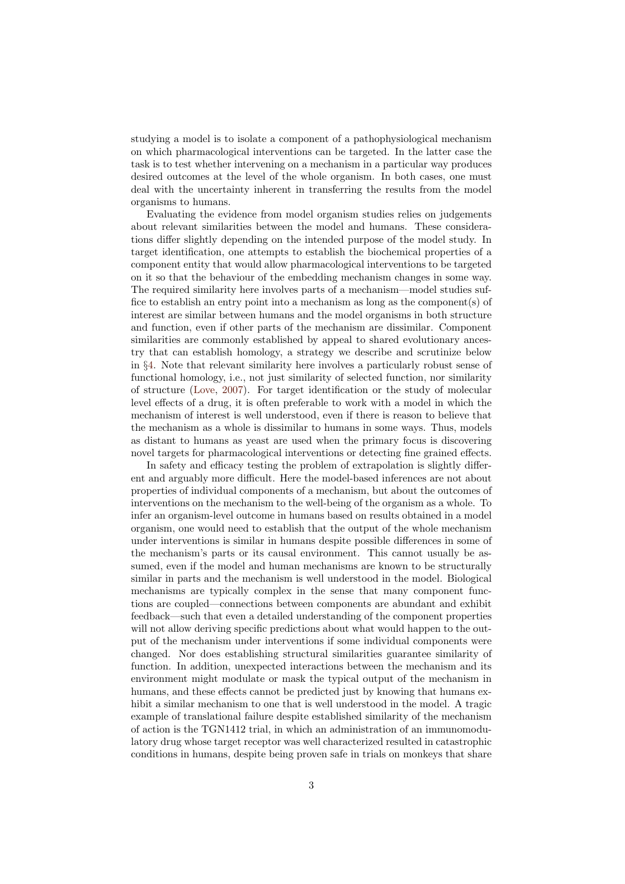studying a model is to isolate a component of a pathophysiological mechanism on which pharmacological interventions can be targeted. In the latter case the task is to test whether intervening on a mechanism in a particular way produces desired outcomes at the level of the whole organism. In both cases, one must deal with the uncertainty inherent in transferring the results from the model organisms to humans.

Evaluating the evidence from model organism studies relies on judgements about relevant similarities between the model and humans. These considerations differ slightly depending on the intended purpose of the model study. In target identification, one attempts to establish the biochemical properties of a component entity that would allow pharmacological interventions to be targeted on it so that the behaviour of the embedding mechanism changes in some way. The required similarity here involves parts of a mechanism—model studies suffice to establish an entry point into a mechanism as long as the component(s) of interest are similar between humans and the model organisms in both structure and function, even if other parts of the mechanism are dissimilar. Component similarities are commonly established by appeal to shared evolutionary ancestry that can establish homology, a strategy we describe and scrutinize below in §[4.](#page-6-0) Note that relevant similarity here involves a particularly robust sense of functional homology, i.e., not just similarity of selected function, nor similarity of structure [\(Love,](#page-17-0) [2007\)](#page-17-0). For target identification or the study of molecular level effects of a drug, it is often preferable to work with a model in which the mechanism of interest is well understood, even if there is reason to believe that the mechanism as a whole is dissimilar to humans in some ways. Thus, models as distant to humans as yeast are used when the primary focus is discovering novel targets for pharmacological interventions or detecting fine grained effects.

In safety and efficacy testing the problem of extrapolation is slightly different and arguably more difficult. Here the model-based inferences are not about properties of individual components of a mechanism, but about the outcomes of interventions on the mechanism to the well-being of the organism as a whole. To infer an organism-level outcome in humans based on results obtained in a model organism, one would need to establish that the output of the whole mechanism under interventions is similar in humans despite possible differences in some of the mechanism's parts or its causal environment. This cannot usually be assumed, even if the model and human mechanisms are known to be structurally similar in parts and the mechanism is well understood in the model. Biological mechanisms are typically complex in the sense that many component functions are coupled—connections between components are abundant and exhibit feedback—such that even a detailed understanding of the component properties will not allow deriving specific predictions about what would happen to the output of the mechanism under interventions if some individual components were changed. Nor does establishing structural similarities guarantee similarity of function. In addition, unexpected interactions between the mechanism and its environment might modulate or mask the typical output of the mechanism in humans, and these effects cannot be predicted just by knowing that humans exhibit a similar mechanism to one that is well understood in the model. A tragic example of translational failure despite established similarity of the mechanism of action is the TGN1412 trial, in which an administration of an immunomodulatory drug whose target receptor was well characterized resulted in catastrophic conditions in humans, despite being proven safe in trials on monkeys that share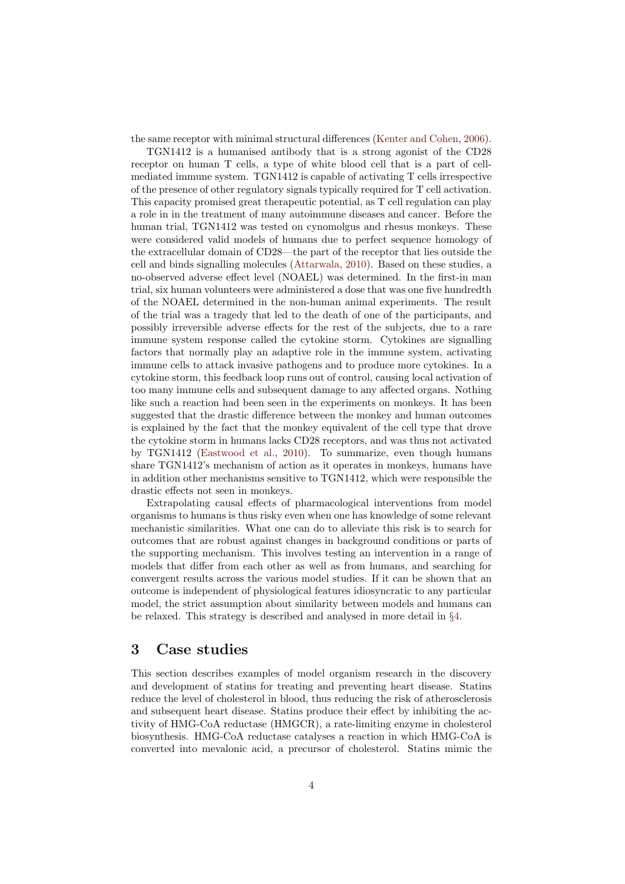the same receptor with minimal structural differences [\(Kenter and Cohen,](#page-17-1) [2006\)](#page-17-1).

TGN1412 is a humanised antibody that is a strong agonist of the CD28 receptor on human T cells, a type of white blood cell that is a part of cellmediated immune system. TGN1412 is capable of activating T cells irrespective of the presence of other regulatory signals typically required for T cell activation. This capacity promised great therapeutic potential, as T cell regulation can play a role in in the treatment of many autoimmune diseases and cancer. Before the human trial, TGN1412 was tested on cynomolgus and rhesus monkeys. These were considered valid models of humans due to perfect sequence homology of the extracellular domain of CD28—the part of the receptor that lies outside the cell and binds signalling molecules [\(Attarwala,](#page-16-0) [2010\)](#page-16-0). Based on these studies, a no-observed adverse effect level (NOAEL) was determined. In the first-in man trial, six human volunteers were administered a dose that was one five hundredth of the NOAEL determined in the non-human animal experiments. The result of the trial was a tragedy that led to the death of one of the participants, and possibly irreversible adverse effects for the rest of the subjects, due to a rare immune system response called the cytokine storm. Cytokines are signalling factors that normally play an adaptive role in the immune system, activating immune cells to attack invasive pathogens and to produce more cytokines. In a cytokine storm, this feedback loop runs out of control, causing local activation of too many immune cells and subsequent damage to any affected organs. Nothing like such a reaction had been seen in the experiments on monkeys. It has been suggested that the drastic difference between the monkey and human outcomes is explained by the fact that the monkey equivalent of the cell type that drove the cytokine storm in humans lacks CD28 receptors, and was thus not activated by TGN1412 [\(Eastwood et al.,](#page-16-1) [2010\)](#page-16-1). To summarize, even though humans share TGN1412's mechanism of action as it operates in monkeys, humans have in addition other mechanisms sensitive to TGN1412, which were responsible the drastic effects not seen in monkeys.

Extrapolating causal effects of pharmacological interventions from model organisms to humans is thus risky even when one has knowledge of some relevant mechanistic similarities. What one can do to alleviate this risk is to search for outcomes that are robust against changes in background conditions or parts of the supporting mechanism. This involves testing an intervention in a range of models that differ from each other as well as from humans, and searching for convergent results across the various model studies. If it can be shown that an outcome is independent of physiological features idiosyncratic to any particular model, the strict assumption about similarity between models and humans can be relaxed. This strategy is described and analysed in more detail in §[4.](#page-6-0)

# <span id="page-3-0"></span>3 Case studies

This section describes examples of model organism research in the discovery and development of statins for treating and preventing heart disease. Statins reduce the level of cholesterol in blood, thus reducing the risk of atherosclerosis and subsequent heart disease. Statins produce their effect by inhibiting the activity of HMG-CoA reductase (HMGCR), a rate-limiting enzyme in cholesterol biosynthesis. HMG-CoA reductase catalyses a reaction in which HMG-CoA is converted into mevalonic acid, a precursor of cholesterol. Statins mimic the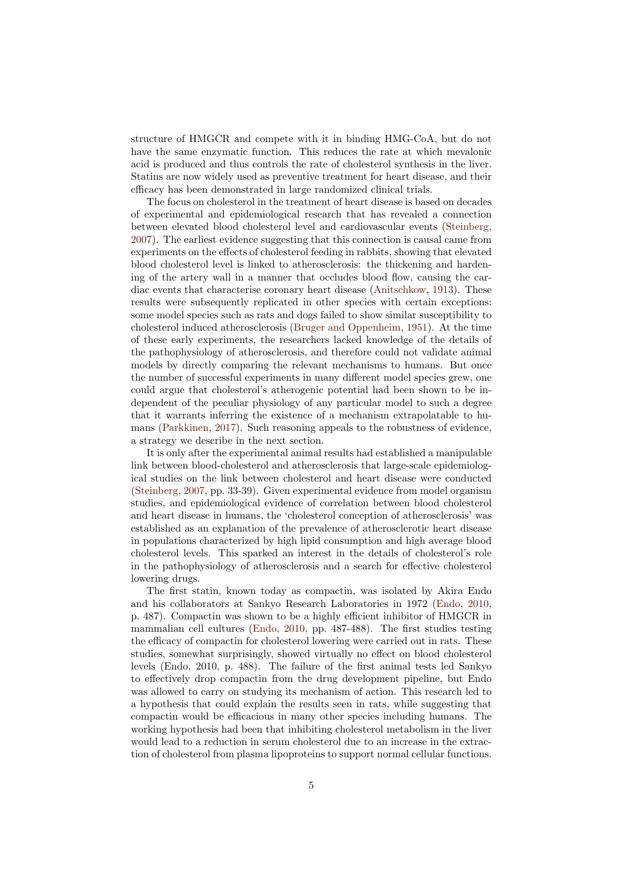structure of HMGCR and compete with it in binding HMG-CoA, but do not have the same enzymatic function. This reduces the rate at which mevalonic acid is produced and thus controls the rate of cholesterol synthesis in the liver. Statins are now widely used as preventive treatment for heart disease, and their efficacy has been demonstrated in large randomized clinical trials.

The focus on cholesterol in the treatment of heart disease is based on decades of experimental and epidemiological research that has revealed a connection between elevated blood cholesterol level and cardiovascular events [\(Steinberg,](#page-18-1) [2007\)](#page-18-1). The earliest evidence suggesting that this connection is causal came from experiments on the effects of cholesterol feeding in rabbits, showing that elevated blood cholesterol level is linked to atherosclerosis: the thickening and hardening of the artery wall in a manner that occludes blood flow, causing the cardiac events that characterise coronary heart disease [\(Anitschkow,](#page-16-2) [1913\)](#page-16-2). These results were subsequently replicated in other species with certain exceptions: some model species such as rats and dogs failed to show similar susceptibility to cholesterol induced atherosclerosis [\(Bruger and Oppenheim,](#page-16-3) [1951\)](#page-16-3). At the time of these early experiments, the researchers lacked knowledge of the details of the pathophysiology of atherosclerosis, and therefore could not validate animal models by directly comparing the relevant mechanisms to humans. But once the number of successful experiments in many different model species grew, one could argue that cholesterol's atherogenic potential had been shown to be independent of the peculiar physiology of any particular model to such a degree that it warrants inferring the existence of a mechanism extrapolatable to humans [\(Parkkinen,](#page-18-2) [2017\)](#page-18-2). Such reasoning appeals to the robustness of evidence, a strategy we describe in the next section.

It is only after the experimental animal results had established a manipulable link between blood-cholesterol and atherosclerosis that large-scale epidemiological studies on the link between cholesterol and heart disease were conducted [\(Steinberg,](#page-18-1) [2007,](#page-18-1) pp. 33-39). Given experimental evidence from model organism studies, and epidemiological evidence of correlation between blood cholesterol and heart disease in humans, the 'cholesterol conception of atherosclerosis' was established as an explanation of the prevalence of atherosclerotic heart disease in populations characterized by high lipid consumption and high average blood cholesterol levels. This sparked an interest in the details of cholesterol's role in the pathophysiology of atherosclerosis and a search for effective cholesterol lowering drugs.

The first statin, known today as compactin, was isolated by Akira Endo and his collaborators at Sankyo Research Laboratories in 1972 [\(Endo,](#page-16-4) [2010,](#page-16-4) p. 487). Compactin was shown to be a highly efficient inhibitor of HMGCR in mammalian cell cultures [\(Endo,](#page-16-4) [2010,](#page-16-4) pp. 487-488). The first studies testing the efficacy of compactin for cholesterol lowering were carried out in rats. These studies, somewhat surprisingly, showed virtually no effect on blood cholesterol levels (Endo, 2010, p. 488). The failure of the first animal tests led Sankyo to effectively drop compactin from the drug development pipeline, but Endo was allowed to carry on studying its mechanism of action. This research led to a hypothesis that could explain the results seen in rats, while suggesting that compactin would be efficacious in many other species including humans. The working hypothesis had been that inhibiting cholesterol metabolism in the liver would lead to a reduction in serum cholesterol due to an increase in the extraction of cholesterol from plasma lipoproteins to support normal cellular functions.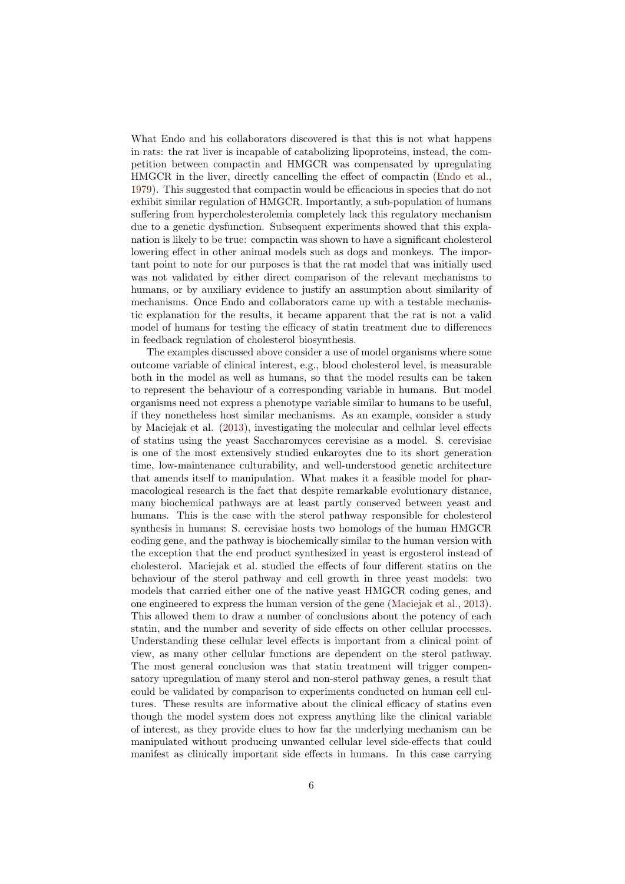What Endo and his collaborators discovered is that this is not what happens in rats: the rat liver is incapable of catabolizing lipoproteins, instead, the competition between compactin and HMGCR was compensated by upregulating HMGCR in the liver, directly cancelling the effect of compactin [\(Endo et al.,](#page-17-2) [1979\)](#page-17-2). This suggested that compactin would be efficacious in species that do not exhibit similar regulation of HMGCR. Importantly, a sub-population of humans suffering from hypercholesterolemia completely lack this regulatory mechanism due to a genetic dysfunction. Subsequent experiments showed that this explanation is likely to be true: compactin was shown to have a significant cholesterol lowering effect in other animal models such as dogs and monkeys. The important point to note for our purposes is that the rat model that was initially used was not validated by either direct comparison of the relevant mechanisms to humans, or by auxiliary evidence to justify an assumption about similarity of mechanisms. Once Endo and collaborators came up with a testable mechanistic explanation for the results, it became apparent that the rat is not a valid model of humans for testing the efficacy of statin treatment due to differences in feedback regulation of cholesterol biosynthesis.

The examples discussed above consider a use of model organisms where some outcome variable of clinical interest, e.g., blood cholesterol level, is measurable both in the model as well as humans, so that the model results can be taken to represent the behaviour of a corresponding variable in humans. But model organisms need not express a phenotype variable similar to humans to be useful, if they nonetheless host similar mechanisms. As an example, consider a study by Maciejak et al. [\(2013\)](#page-17-3), investigating the molecular and cellular level effects of statins using the yeast Saccharomyces cerevisiae as a model. S. cerevisiae is one of the most extensively studied eukaroytes due to its short generation time, low-maintenance culturability, and well-understood genetic architecture that amends itself to manipulation. What makes it a feasible model for pharmacological research is the fact that despite remarkable evolutionary distance, many biochemical pathways are at least partly conserved between yeast and humans. This is the case with the sterol pathway responsible for cholesterol synthesis in humans: S. cerevisiae hosts two homologs of the human HMGCR coding gene, and the pathway is biochemically similar to the human version with the exception that the end product synthesized in yeast is ergosterol instead of cholesterol. Maciejak et al. studied the effects of four different statins on the behaviour of the sterol pathway and cell growth in three yeast models: two models that carried either one of the native yeast HMGCR coding genes, and one engineered to express the human version of the gene [\(Maciejak et al.,](#page-17-3) [2013\)](#page-17-3). This allowed them to draw a number of conclusions about the potency of each statin, and the number and severity of side effects on other cellular processes. Understanding these cellular level effects is important from a clinical point of view, as many other cellular functions are dependent on the sterol pathway. The most general conclusion was that statin treatment will trigger compensatory upregulation of many sterol and non-sterol pathway genes, a result that could be validated by comparison to experiments conducted on human cell cultures. These results are informative about the clinical efficacy of statins even though the model system does not express anything like the clinical variable of interest, as they provide clues to how far the underlying mechanism can be manipulated without producing unwanted cellular level side-effects that could manifest as clinically important side effects in humans. In this case carrying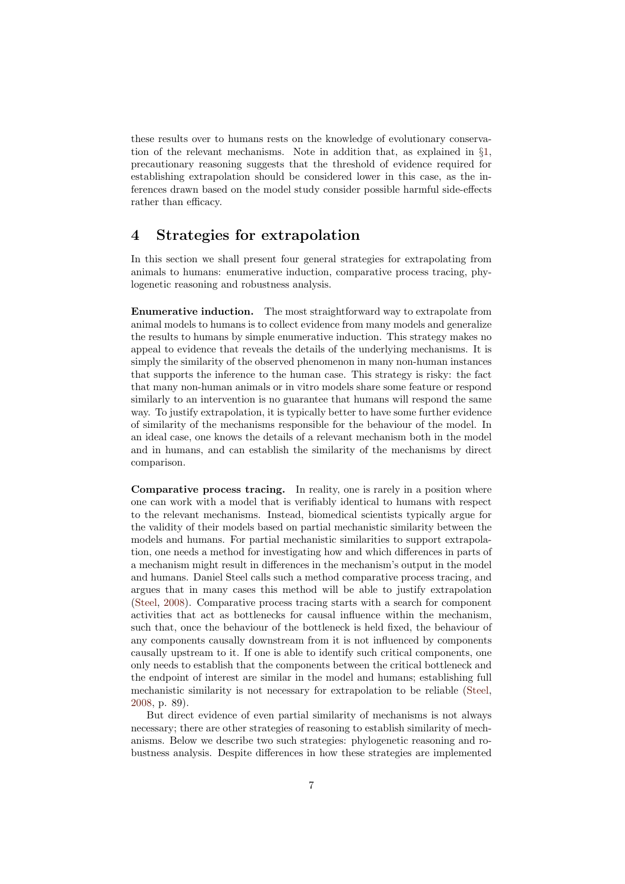these results over to humans rests on the knowledge of evolutionary conservation of the relevant mechanisms. Note in addition that, as explained in §[1,](#page-0-0) precautionary reasoning suggests that the threshold of evidence required for establishing extrapolation should be considered lower in this case, as the inferences drawn based on the model study consider possible harmful side-effects rather than efficacy.

# <span id="page-6-0"></span>4 Strategies for extrapolation

In this section we shall present four general strategies for extrapolating from animals to humans: enumerative induction, comparative process tracing, phylogenetic reasoning and robustness analysis.

Enumerative induction. The most straightforward way to extrapolate from animal models to humans is to collect evidence from many models and generalize the results to humans by simple enumerative induction. This strategy makes no appeal to evidence that reveals the details of the underlying mechanisms. It is simply the similarity of the observed phenomenon in many non-human instances that supports the inference to the human case. This strategy is risky: the fact that many non-human animals or in vitro models share some feature or respond similarly to an intervention is no guarantee that humans will respond the same way. To justify extrapolation, it is typically better to have some further evidence of similarity of the mechanisms responsible for the behaviour of the model. In an ideal case, one knows the details of a relevant mechanism both in the model and in humans, and can establish the similarity of the mechanisms by direct comparison.

Comparative process tracing. In reality, one is rarely in a position where one can work with a model that is verifiably identical to humans with respect to the relevant mechanisms. Instead, biomedical scientists typically argue for the validity of their models based on partial mechanistic similarity between the models and humans. For partial mechanistic similarities to support extrapolation, one needs a method for investigating how and which differences in parts of a mechanism might result in differences in the mechanism's output in the model and humans. Daniel Steel calls such a method comparative process tracing, and argues that in many cases this method will be able to justify extrapolation [\(Steel,](#page-18-3) [2008\)](#page-18-3). Comparative process tracing starts with a search for component activities that act as bottlenecks for causal influence within the mechanism, such that, once the behaviour of the bottleneck is held fixed, the behaviour of any components causally downstream from it is not influenced by components causally upstream to it. If one is able to identify such critical components, one only needs to establish that the components between the critical bottleneck and the endpoint of interest are similar in the model and humans; establishing full mechanistic similarity is not necessary for extrapolation to be reliable [\(Steel,](#page-18-3) [2008,](#page-18-3) p. 89).

But direct evidence of even partial similarity of mechanisms is not always necessary; there are other strategies of reasoning to establish similarity of mechanisms. Below we describe two such strategies: phylogenetic reasoning and robustness analysis. Despite differences in how these strategies are implemented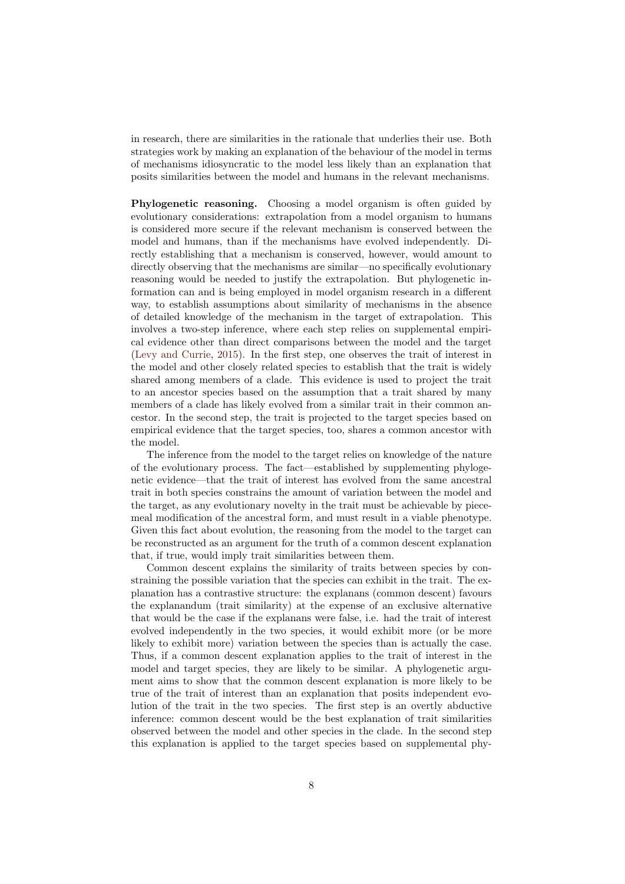in research, there are similarities in the rationale that underlies their use. Both strategies work by making an explanation of the behaviour of the model in terms of mechanisms idiosyncratic to the model less likely than an explanation that posits similarities between the model and humans in the relevant mechanisms.

Phylogenetic reasoning. Choosing a model organism is often guided by evolutionary considerations: extrapolation from a model organism to humans is considered more secure if the relevant mechanism is conserved between the model and humans, than if the mechanisms have evolved independently. Directly establishing that a mechanism is conserved, however, would amount to directly observing that the mechanisms are similar—no specifically evolutionary reasoning would be needed to justify the extrapolation. But phylogenetic information can and is being employed in model organism research in a different way, to establish assumptions about similarity of mechanisms in the absence of detailed knowledge of the mechanism in the target of extrapolation. This involves a two-step inference, where each step relies on supplemental empirical evidence other than direct comparisons between the model and the target [\(Levy and Currie,](#page-17-4) [2015\)](#page-17-4). In the first step, one observes the trait of interest in the model and other closely related species to establish that the trait is widely shared among members of a clade. This evidence is used to project the trait to an ancestor species based on the assumption that a trait shared by many members of a clade has likely evolved from a similar trait in their common ancestor. In the second step, the trait is projected to the target species based on empirical evidence that the target species, too, shares a common ancestor with the model.

The inference from the model to the target relies on knowledge of the nature of the evolutionary process. The fact—established by supplementing phylogenetic evidence—that the trait of interest has evolved from the same ancestral trait in both species constrains the amount of variation between the model and the target, as any evolutionary novelty in the trait must be achievable by piecemeal modification of the ancestral form, and must result in a viable phenotype. Given this fact about evolution, the reasoning from the model to the target can be reconstructed as an argument for the truth of a common descent explanation that, if true, would imply trait similarities between them.

Common descent explains the similarity of traits between species by constraining the possible variation that the species can exhibit in the trait. The explanation has a contrastive structure: the explanans (common descent) favours the explanandum (trait similarity) at the expense of an exclusive alternative that would be the case if the explanans were false, i.e. had the trait of interest evolved independently in the two species, it would exhibit more (or be more likely to exhibit more) variation between the species than is actually the case. Thus, if a common descent explanation applies to the trait of interest in the model and target species, they are likely to be similar. A phylogenetic argument aims to show that the common descent explanation is more likely to be true of the trait of interest than an explanation that posits independent evolution of the trait in the two species. The first step is an overtly abductive inference: common descent would be the best explanation of trait similarities observed between the model and other species in the clade. In the second step this explanation is applied to the target species based on supplemental phy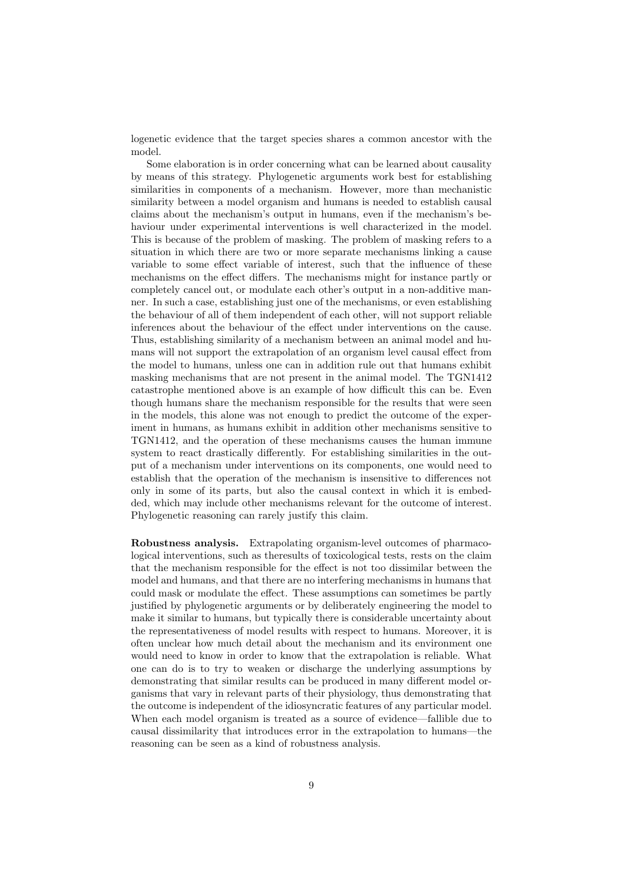logenetic evidence that the target species shares a common ancestor with the model.

Some elaboration is in order concerning what can be learned about causality by means of this strategy. Phylogenetic arguments work best for establishing similarities in components of a mechanism. However, more than mechanistic similarity between a model organism and humans is needed to establish causal claims about the mechanism's output in humans, even if the mechanism's behaviour under experimental interventions is well characterized in the model. This is because of the problem of masking. The problem of masking refers to a situation in which there are two or more separate mechanisms linking a cause variable to some effect variable of interest, such that the influence of these mechanisms on the effect differs. The mechanisms might for instance partly or completely cancel out, or modulate each other's output in a non-additive manner. In such a case, establishing just one of the mechanisms, or even establishing the behaviour of all of them independent of each other, will not support reliable inferences about the behaviour of the effect under interventions on the cause. Thus, establishing similarity of a mechanism between an animal model and humans will not support the extrapolation of an organism level causal effect from the model to humans, unless one can in addition rule out that humans exhibit masking mechanisms that are not present in the animal model. The TGN1412 catastrophe mentioned above is an example of how difficult this can be. Even though humans share the mechanism responsible for the results that were seen in the models, this alone was not enough to predict the outcome of the experiment in humans, as humans exhibit in addition other mechanisms sensitive to TGN1412, and the operation of these mechanisms causes the human immune system to react drastically differently. For establishing similarities in the output of a mechanism under interventions on its components, one would need to establish that the operation of the mechanism is insensitive to differences not only in some of its parts, but also the causal context in which it is embedded, which may include other mechanisms relevant for the outcome of interest. Phylogenetic reasoning can rarely justify this claim.

Robustness analysis. Extrapolating organism-level outcomes of pharmacological interventions, such as theresults of toxicological tests, rests on the claim that the mechanism responsible for the effect is not too dissimilar between the model and humans, and that there are no interfering mechanisms in humans that could mask or modulate the effect. These assumptions can sometimes be partly justified by phylogenetic arguments or by deliberately engineering the model to make it similar to humans, but typically there is considerable uncertainty about the representativeness of model results with respect to humans. Moreover, it is often unclear how much detail about the mechanism and its environment one would need to know in order to know that the extrapolation is reliable. What one can do is to try to weaken or discharge the underlying assumptions by demonstrating that similar results can be produced in many different model organisms that vary in relevant parts of their physiology, thus demonstrating that the outcome is independent of the idiosyncratic features of any particular model. When each model organism is treated as a source of evidence—fallible due to causal dissimilarity that introduces error in the extrapolation to humans—the reasoning can be seen as a kind of robustness analysis.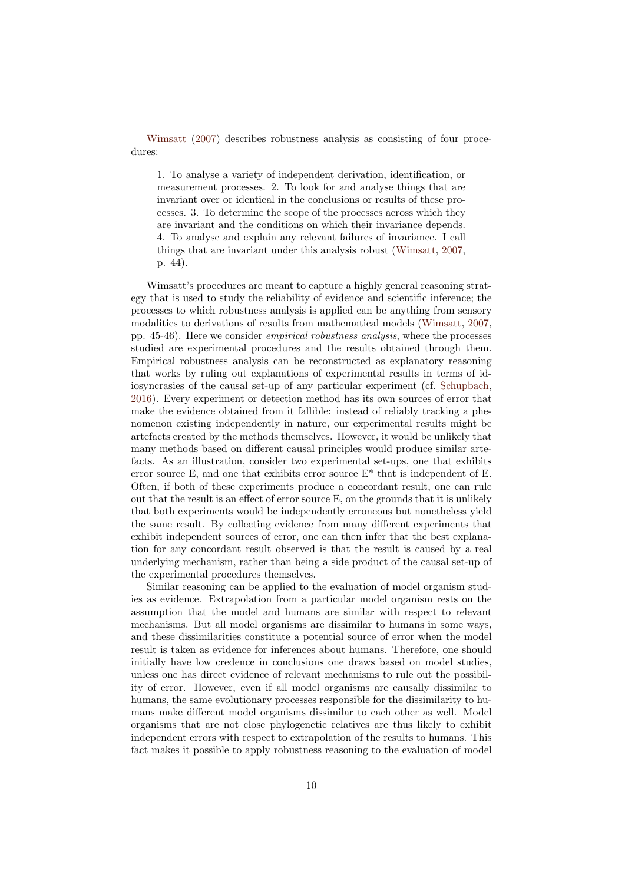[Wimsatt](#page-18-4) [\(2007\)](#page-18-4) describes robustness analysis as consisting of four procedures:

1. To analyse a variety of independent derivation, identification, or measurement processes. 2. To look for and analyse things that are invariant over or identical in the conclusions or results of these processes. 3. To determine the scope of the processes across which they are invariant and the conditions on which their invariance depends. 4. To analyse and explain any relevant failures of invariance. I call things that are invariant under this analysis robust [\(Wimsatt,](#page-18-4) [2007,](#page-18-4) p. 44).

Wimsatt's procedures are meant to capture a highly general reasoning strategy that is used to study the reliability of evidence and scientific inference; the processes to which robustness analysis is applied can be anything from sensory modalities to derivations of results from mathematical models [\(Wimsatt,](#page-18-4) [2007,](#page-18-4) pp. 45-46). Here we consider empirical robustness analysis, where the processes studied are experimental procedures and the results obtained through them. Empirical robustness analysis can be reconstructed as explanatory reasoning that works by ruling out explanations of experimental results in terms of idiosyncrasies of the causal set-up of any particular experiment (cf. [Schupbach,](#page-18-5) [2016\)](#page-18-5). Every experiment or detection method has its own sources of error that make the evidence obtained from it fallible: instead of reliably tracking a phenomenon existing independently in nature, our experimental results might be artefacts created by the methods themselves. However, it would be unlikely that many methods based on different causal principles would produce similar artefacts. As an illustration, consider two experimental set-ups, one that exhibits error source E, and one that exhibits error source  $E^*$  that is independent of E. Often, if both of these experiments produce a concordant result, one can rule out that the result is an effect of error source E, on the grounds that it is unlikely that both experiments would be independently erroneous but nonetheless yield the same result. By collecting evidence from many different experiments that exhibit independent sources of error, one can then infer that the best explanation for any concordant result observed is that the result is caused by a real underlying mechanism, rather than being a side product of the causal set-up of the experimental procedures themselves.

Similar reasoning can be applied to the evaluation of model organism studies as evidence. Extrapolation from a particular model organism rests on the assumption that the model and humans are similar with respect to relevant mechanisms. But all model organisms are dissimilar to humans in some ways, and these dissimilarities constitute a potential source of error when the model result is taken as evidence for inferences about humans. Therefore, one should initially have low credence in conclusions one draws based on model studies, unless one has direct evidence of relevant mechanisms to rule out the possibility of error. However, even if all model organisms are causally dissimilar to humans, the same evolutionary processes responsible for the dissimilarity to humans make different model organisms dissimilar to each other as well. Model organisms that are not close phylogenetic relatives are thus likely to exhibit independent errors with respect to extrapolation of the results to humans. This fact makes it possible to apply robustness reasoning to the evaluation of model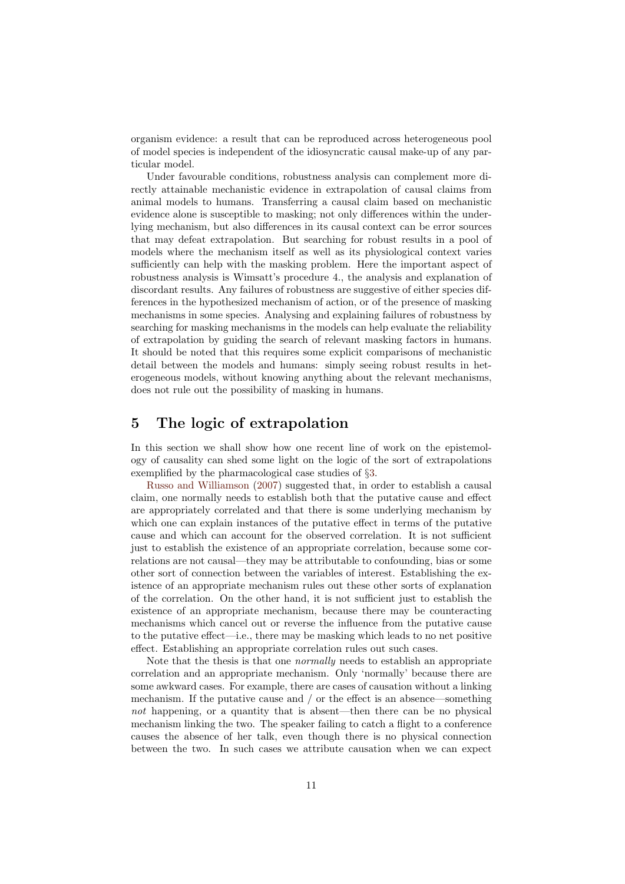organism evidence: a result that can be reproduced across heterogeneous pool of model species is independent of the idiosyncratic causal make-up of any particular model.

Under favourable conditions, robustness analysis can complement more directly attainable mechanistic evidence in extrapolation of causal claims from animal models to humans. Transferring a causal claim based on mechanistic evidence alone is susceptible to masking; not only differences within the underlying mechanism, but also differences in its causal context can be error sources that may defeat extrapolation. But searching for robust results in a pool of models where the mechanism itself as well as its physiological context varies sufficiently can help with the masking problem. Here the important aspect of robustness analysis is Wimsatt's procedure 4., the analysis and explanation of discordant results. Any failures of robustness are suggestive of either species differences in the hypothesized mechanism of action, or of the presence of masking mechanisms in some species. Analysing and explaining failures of robustness by searching for masking mechanisms in the models can help evaluate the reliability of extrapolation by guiding the search of relevant masking factors in humans. It should be noted that this requires some explicit comparisons of mechanistic detail between the models and humans: simply seeing robust results in heterogeneous models, without knowing anything about the relevant mechanisms, does not rule out the possibility of masking in humans.

## <span id="page-10-0"></span>5 The logic of extrapolation

In this section we shall show how one recent line of work on the epistemology of causality can shed some light on the logic of the sort of extrapolations exemplified by the pharmacological case studies of §[3.](#page-3-0)

[Russo and Williamson](#page-18-6) [\(2007\)](#page-18-6) suggested that, in order to establish a causal claim, one normally needs to establish both that the putative cause and effect are appropriately correlated and that there is some underlying mechanism by which one can explain instances of the putative effect in terms of the putative cause and which can account for the observed correlation. It is not sufficient just to establish the existence of an appropriate correlation, because some correlations are not causal—they may be attributable to confounding, bias or some other sort of connection between the variables of interest. Establishing the existence of an appropriate mechanism rules out these other sorts of explanation of the correlation. On the other hand, it is not sufficient just to establish the existence of an appropriate mechanism, because there may be counteracting mechanisms which cancel out or reverse the influence from the putative cause to the putative effect—i.e., there may be masking which leads to no net positive effect. Establishing an appropriate correlation rules out such cases.

Note that the thesis is that one normally needs to establish an appropriate correlation and an appropriate mechanism. Only 'normally' because there are some awkward cases. For example, there are cases of causation without a linking mechanism. If the putative cause and / or the effect is an absence—something not happening, or a quantity that is absent—then there can be no physical mechanism linking the two. The speaker failing to catch a flight to a conference causes the absence of her talk, even though there is no physical connection between the two. In such cases we attribute causation when we can expect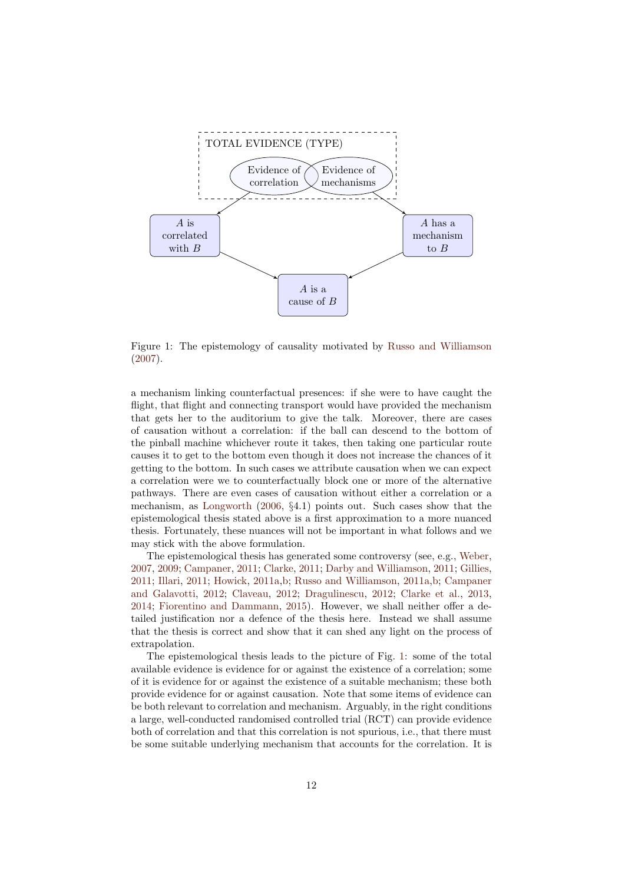

<span id="page-11-0"></span>Figure 1: The epistemology of causality motivated by [Russo and Williamson](#page-18-6) [\(2007\)](#page-18-6).

a mechanism linking counterfactual presences: if she were to have caught the flight, that flight and connecting transport would have provided the mechanism that gets her to the auditorium to give the talk. Moreover, there are cases of causation without a correlation: if the ball can descend to the bottom of the pinball machine whichever route it takes, then taking one particular route causes it to get to the bottom even though it does not increase the chances of it getting to the bottom. In such cases we attribute causation when we can expect a correlation were we to counterfactually block one or more of the alternative pathways. There are even cases of causation without either a correlation or a mechanism, as [Longworth](#page-17-5) [\(2006,](#page-17-5) §4.1) points out. Such cases show that the epistemological thesis stated above is a first approximation to a more nuanced thesis. Fortunately, these nuances will not be important in what follows and we may stick with the above formulation.

The epistemological thesis has generated some controversy (see, e.g., [Weber,](#page-18-7) [2007,](#page-18-7) [2009;](#page-18-8) [Campaner,](#page-16-5) [2011;](#page-16-5) [Clarke,](#page-16-6) [2011;](#page-16-6) [Darby and Williamson,](#page-16-7) [2011;](#page-16-7) [Gillies,](#page-17-6) [2011;](#page-17-6) [Illari,](#page-17-7) [2011;](#page-17-7) [Howick,](#page-17-8) [2011a](#page-17-8)[,b;](#page-17-9) [Russo and Williamson,](#page-18-9) [2011a,](#page-18-9)[b;](#page-18-10) [Campaner](#page-16-8) [and Galavotti,](#page-16-8) [2012;](#page-16-8) [Claveau,](#page-16-9) [2012;](#page-16-9) [Dragulinescu,](#page-16-10) [2012;](#page-16-10) [Clarke et al.,](#page-16-11) [2013,](#page-16-11) [2014;](#page-16-12) [Fiorentino and Dammann,](#page-17-10) [2015\)](#page-17-10). However, we shall neither offer a detailed justification nor a defence of the thesis here. Instead we shall assume that the thesis is correct and show that it can shed any light on the process of extrapolation.

The epistemological thesis leads to the picture of Fig. [1:](#page-11-0) some of the total available evidence is evidence for or against the existence of a correlation; some of it is evidence for or against the existence of a suitable mechanism; these both provide evidence for or against causation. Note that some items of evidence can be both relevant to correlation and mechanism. Arguably, in the right conditions a large, well-conducted randomised controlled trial (RCT) can provide evidence both of correlation and that this correlation is not spurious, i.e., that there must be some suitable underlying mechanism that accounts for the correlation. It is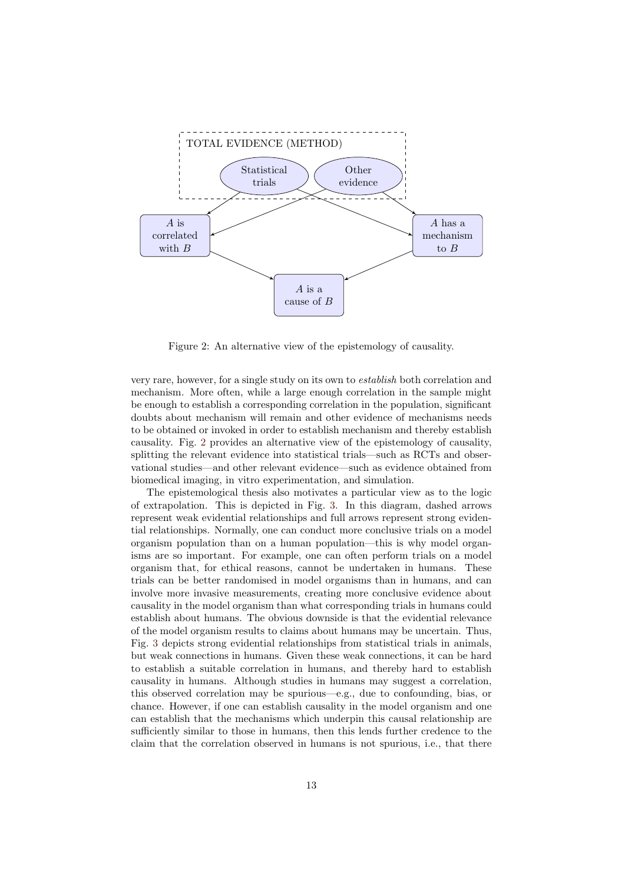

<span id="page-12-0"></span>Figure 2: An alternative view of the epistemology of causality.

very rare, however, for a single study on its own to establish both correlation and mechanism. More often, while a large enough correlation in the sample might be enough to establish a corresponding correlation in the population, significant doubts about mechanism will remain and other evidence of mechanisms needs to be obtained or invoked in order to establish mechanism and thereby establish causality. Fig. [2](#page-12-0) provides an alternative view of the epistemology of causality, splitting the relevant evidence into statistical trials—such as RCTs and observational studies—and other relevant evidence—such as evidence obtained from biomedical imaging, in vitro experimentation, and simulation.

The epistemological thesis also motivates a particular view as to the logic of extrapolation. This is depicted in Fig. [3.](#page-13-0) In this diagram, dashed arrows represent weak evidential relationships and full arrows represent strong evidential relationships. Normally, one can conduct more conclusive trials on a model organism population than on a human population—this is why model organisms are so important. For example, one can often perform trials on a model organism that, for ethical reasons, cannot be undertaken in humans. These trials can be better randomised in model organisms than in humans, and can involve more invasive measurements, creating more conclusive evidence about causality in the model organism than what corresponding trials in humans could establish about humans. The obvious downside is that the evidential relevance of the model organism results to claims about humans may be uncertain. Thus, Fig. [3](#page-13-0) depicts strong evidential relationships from statistical trials in animals, but weak connections in humans. Given these weak connections, it can be hard to establish a suitable correlation in humans, and thereby hard to establish causality in humans. Although studies in humans may suggest a correlation, this observed correlation may be spurious—e.g., due to confounding, bias, or chance. However, if one can establish causality in the model organism and one can establish that the mechanisms which underpin this causal relationship are sufficiently similar to those in humans, then this lends further credence to the claim that the correlation observed in humans is not spurious, i.e., that there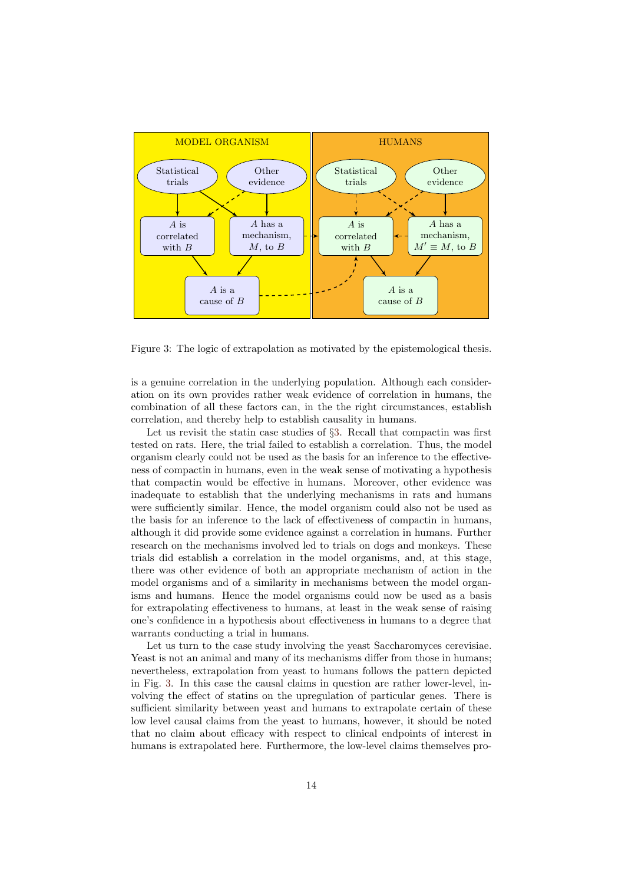

<span id="page-13-0"></span>Figure 3: The logic of extrapolation as motivated by the epistemological thesis.

is a genuine correlation in the underlying population. Although each consideration on its own provides rather weak evidence of correlation in humans, the combination of all these factors can, in the the right circumstances, establish correlation, and thereby help to establish causality in humans.

Let us revisit the statin case studies of §[3.](#page-3-0) Recall that compactin was first tested on rats. Here, the trial failed to establish a correlation. Thus, the model organism clearly could not be used as the basis for an inference to the effectiveness of compactin in humans, even in the weak sense of motivating a hypothesis that compactin would be effective in humans. Moreover, other evidence was inadequate to establish that the underlying mechanisms in rats and humans were sufficiently similar. Hence, the model organism could also not be used as the basis for an inference to the lack of effectiveness of compactin in humans, although it did provide some evidence against a correlation in humans. Further research on the mechanisms involved led to trials on dogs and monkeys. These trials did establish a correlation in the model organisms, and, at this stage, there was other evidence of both an appropriate mechanism of action in the model organisms and of a similarity in mechanisms between the model organisms and humans. Hence the model organisms could now be used as a basis for extrapolating effectiveness to humans, at least in the weak sense of raising one's confidence in a hypothesis about effectiveness in humans to a degree that warrants conducting a trial in humans.

Let us turn to the case study involving the yeast Saccharomyces cerevisiae. Yeast is not an animal and many of its mechanisms differ from those in humans; nevertheless, extrapolation from yeast to humans follows the pattern depicted in Fig. [3.](#page-13-0) In this case the causal claims in question are rather lower-level, involving the effect of statins on the upregulation of particular genes. There is sufficient similarity between yeast and humans to extrapolate certain of these low level causal claims from the yeast to humans, however, it should be noted that no claim about efficacy with respect to clinical endpoints of interest in humans is extrapolated here. Furthermore, the low-level claims themselves pro-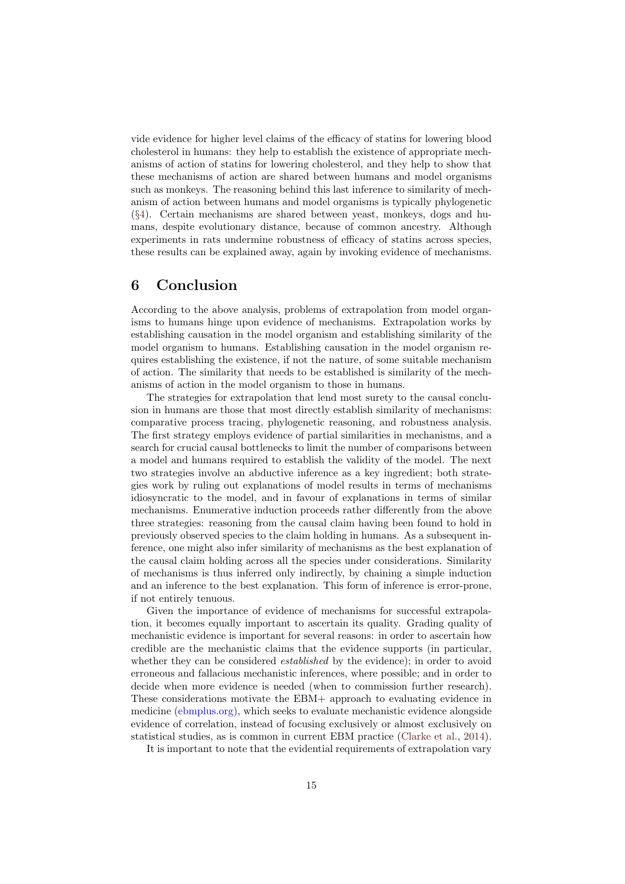vide evidence for higher level claims of the efficacy of statins for lowering blood cholesterol in humans: they help to establish the existence of appropriate mechanisms of action of statins for lowering cholesterol, and they help to show that these mechanisms of action are shared between humans and model organisms such as monkeys. The reasoning behind this last inference to similarity of mechanism of action between humans and model organisms is typically phylogenetic (§[4\)](#page-6-0). Certain mechanisms are shared between yeast, monkeys, dogs and humans, despite evolutionary distance, because of common ancestry. Although experiments in rats undermine robustness of efficacy of statins across species, these results can be explained away, again by invoking evidence of mechanisms.

# <span id="page-14-0"></span>6 Conclusion

According to the above analysis, problems of extrapolation from model organisms to humans hinge upon evidence of mechanisms. Extrapolation works by establishing causation in the model organism and establishing similarity of the model organism to humans. Establishing causation in the model organism requires establishing the existence, if not the nature, of some suitable mechanism of action. The similarity that needs to be established is similarity of the mechanisms of action in the model organism to those in humans.

The strategies for extrapolation that lend most surety to the causal conclusion in humans are those that most directly establish similarity of mechanisms: comparative process tracing, phylogenetic reasoning, and robustness analysis. The first strategy employs evidence of partial similarities in mechanisms, and a search for crucial causal bottlenecks to limit the number of comparisons between a model and humans required to establish the validity of the model. The next two strategies involve an abductive inference as a key ingredient; both strategies work by ruling out explanations of model results in terms of mechanisms idiosyncratic to the model, and in favour of explanations in terms of similar mechanisms. Enumerative induction proceeds rather differently from the above three strategies: reasoning from the causal claim having been found to hold in previously observed species to the claim holding in humans. As a subsequent inference, one might also infer similarity of mechanisms as the best explanation of the causal claim holding across all the species under considerations. Similarity of mechanisms is thus inferred only indirectly, by chaining a simple induction and an inference to the best explanation. This form of inference is error-prone, if not entirely tenuous.

Given the importance of evidence of mechanisms for successful extrapolation, it becomes equally important to ascertain its quality. Grading quality of mechanistic evidence is important for several reasons: in order to ascertain how credible are the mechanistic claims that the evidence supports (in particular, whether they can be considered *established* by the evidence); in order to avoid erroneous and fallacious mechanistic inferences, where possible; and in order to decide when more evidence is needed (when to commission further research). These considerations motivate the EBM+ approach to evaluating evidence in medicine [\(ebmplus.org\)](http://www.ebmplus.org), which seeks to evaluate mechanistic evidence alongside evidence of correlation, instead of focusing exclusively or almost exclusively on statistical studies, as is common in current EBM practice [\(Clarke et al.,](#page-16-12) [2014\)](#page-16-12).

It is important to note that the evidential requirements of extrapolation vary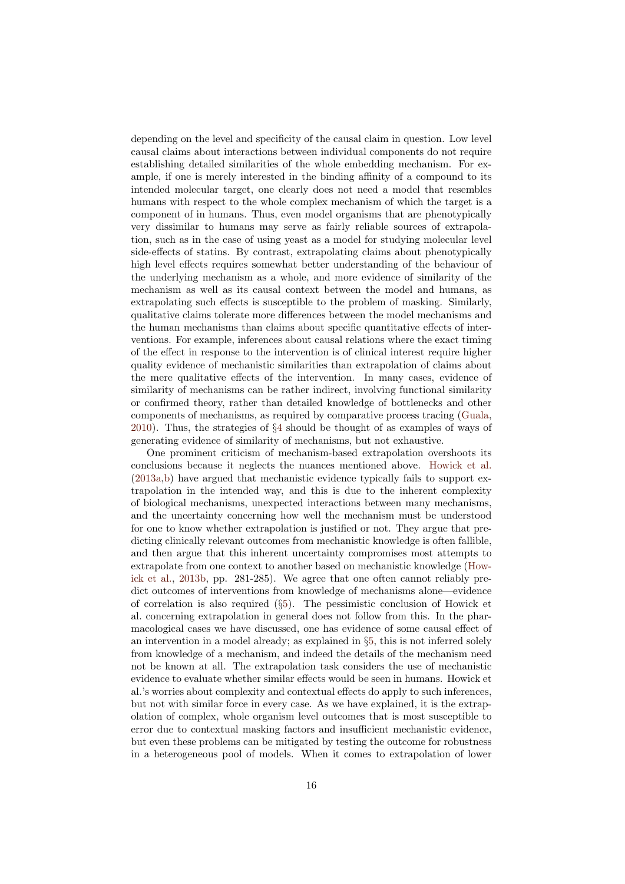depending on the level and specificity of the causal claim in question. Low level causal claims about interactions between individual components do not require establishing detailed similarities of the whole embedding mechanism. For example, if one is merely interested in the binding affinity of a compound to its intended molecular target, one clearly does not need a model that resembles humans with respect to the whole complex mechanism of which the target is a component of in humans. Thus, even model organisms that are phenotypically very dissimilar to humans may serve as fairly reliable sources of extrapolation, such as in the case of using yeast as a model for studying molecular level side-effects of statins. By contrast, extrapolating claims about phenotypically high level effects requires somewhat better understanding of the behaviour of the underlying mechanism as a whole, and more evidence of similarity of the mechanism as well as its causal context between the model and humans, as extrapolating such effects is susceptible to the problem of masking. Similarly, qualitative claims tolerate more differences between the model mechanisms and the human mechanisms than claims about specific quantitative effects of interventions. For example, inferences about causal relations where the exact timing of the effect in response to the intervention is of clinical interest require higher quality evidence of mechanistic similarities than extrapolation of claims about the mere qualitative effects of the intervention. In many cases, evidence of similarity of mechanisms can be rather indirect, involving functional similarity or confirmed theory, rather than detailed knowledge of bottlenecks and other components of mechanisms, as required by comparative process tracing [\(Guala,](#page-17-11) [2010\)](#page-17-11). Thus, the strategies of §[4](#page-6-0) should be thought of as examples of ways of generating evidence of similarity of mechanisms, but not exhaustive.

One prominent criticism of mechanism-based extrapolation overshoots its conclusions because it neglects the nuances mentioned above. [Howick et al.](#page-17-12) [\(2013a,](#page-17-12)[b\)](#page-17-13) have argued that mechanistic evidence typically fails to support extrapolation in the intended way, and this is due to the inherent complexity of biological mechanisms, unexpected interactions between many mechanisms, and the uncertainty concerning how well the mechanism must be understood for one to know whether extrapolation is justified or not. They argue that predicting clinically relevant outcomes from mechanistic knowledge is often fallible, and then argue that this inherent uncertainty compromises most attempts to extrapolate from one context to another based on mechanistic knowledge [\(How](#page-17-13)[ick et al.,](#page-17-13) [2013b,](#page-17-13) pp. 281-285). We agree that one often cannot reliably predict outcomes of interventions from knowledge of mechanisms alone—evidence of correlation is also required  $(\S$ [5\)](#page-10-0). The pessimistic conclusion of Howick et al. concerning extrapolation in general does not follow from this. In the pharmacological cases we have discussed, one has evidence of some causal effect of an intervention in a model already; as explained in  $\S5$ , this is not inferred solely from knowledge of a mechanism, and indeed the details of the mechanism need not be known at all. The extrapolation task considers the use of mechanistic evidence to evaluate whether similar effects would be seen in humans. Howick et al.'s worries about complexity and contextual effects do apply to such inferences, but not with similar force in every case. As we have explained, it is the extrapolation of complex, whole organism level outcomes that is most susceptible to error due to contextual masking factors and insufficient mechanistic evidence, but even these problems can be mitigated by testing the outcome for robustness in a heterogeneous pool of models. When it comes to extrapolation of lower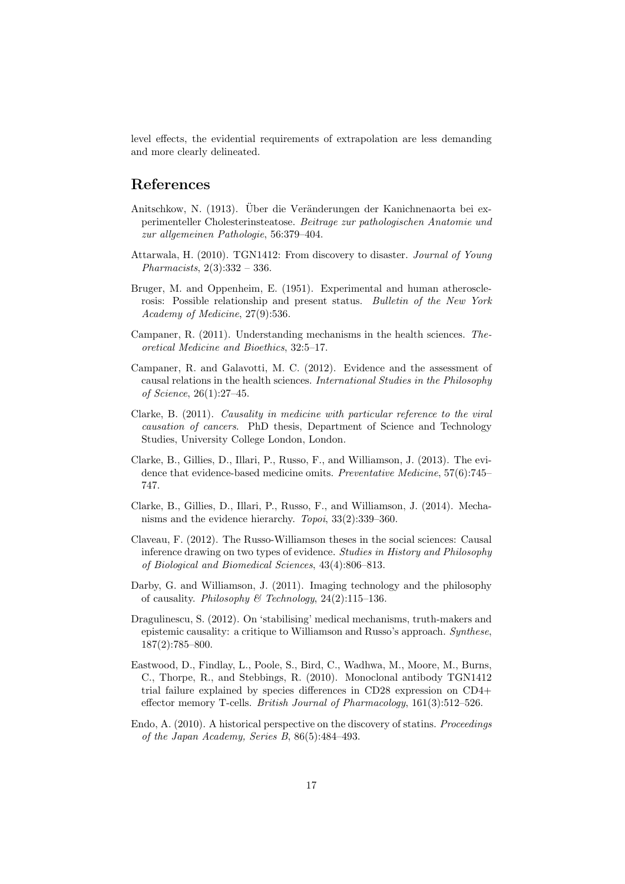level effects, the evidential requirements of extrapolation are less demanding and more clearly delineated.

# References

- <span id="page-16-2"></span>Anitschkow, N. (1913). Uber die Veränderungen der Kanichnenaorta bei experimenteller Cholesterinsteatose. Beitrage zur pathologischen Anatomie und zur allgemeinen Pathologie, 56:379–404.
- <span id="page-16-0"></span>Attarwala, H. (2010). TGN1412: From discovery to disaster. *Journal of Young* Pharmacists, 2(3):332 – 336.
- <span id="page-16-3"></span>Bruger, M. and Oppenheim, E. (1951). Experimental and human atherosclerosis: Possible relationship and present status. Bulletin of the New York Academy of Medicine, 27(9):536.
- <span id="page-16-5"></span>Campaner, R. (2011). Understanding mechanisms in the health sciences. Theoretical Medicine and Bioethics, 32:5–17.
- <span id="page-16-8"></span>Campaner, R. and Galavotti, M. C. (2012). Evidence and the assessment of causal relations in the health sciences. International Studies in the Philosophy of Science, 26(1):27–45.
- <span id="page-16-6"></span>Clarke, B. (2011). Causality in medicine with particular reference to the viral causation of cancers. PhD thesis, Department of Science and Technology Studies, University College London, London.
- <span id="page-16-11"></span>Clarke, B., Gillies, D., Illari, P., Russo, F., and Williamson, J. (2013). The evidence that evidence-based medicine omits. Preventative Medicine, 57(6):745– 747.
- <span id="page-16-12"></span>Clarke, B., Gillies, D., Illari, P., Russo, F., and Williamson, J. (2014). Mechanisms and the evidence hierarchy. Topoi, 33(2):339–360.
- <span id="page-16-9"></span>Claveau, F. (2012). The Russo-Williamson theses in the social sciences: Causal inference drawing on two types of evidence. Studies in History and Philosophy of Biological and Biomedical Sciences, 43(4):806–813.
- <span id="page-16-7"></span>Darby, G. and Williamson, J. (2011). Imaging technology and the philosophy of causality. Philosophy & Technology, 24(2):115-136.
- <span id="page-16-10"></span>Dragulinescu, S. (2012). On 'stabilising' medical mechanisms, truth-makers and epistemic causality: a critique to Williamson and Russo's approach. Synthese, 187(2):785–800.
- <span id="page-16-1"></span>Eastwood, D., Findlay, L., Poole, S., Bird, C., Wadhwa, M., Moore, M., Burns, C., Thorpe, R., and Stebbings, R. (2010). Monoclonal antibody TGN1412 trial failure explained by species differences in CD28 expression on CD4+ effector memory T-cells. British Journal of Pharmacology, 161(3):512–526.
- <span id="page-16-4"></span>Endo, A. (2010). A historical perspective on the discovery of statins. *Proceedings* of the Japan Academy, Series B, 86(5):484–493.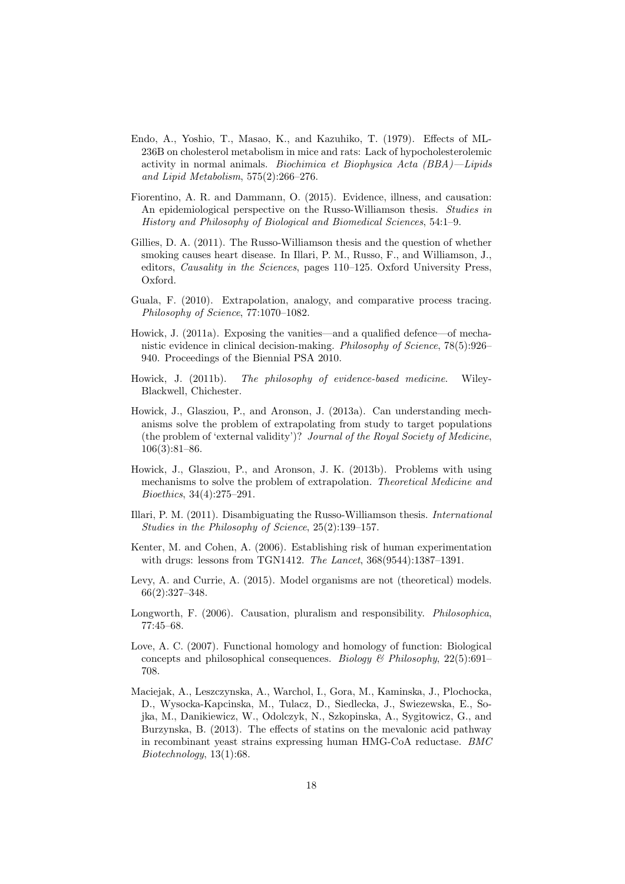- <span id="page-17-2"></span>Endo, A., Yoshio, T., Masao, K., and Kazuhiko, T. (1979). Effects of ML-236B on cholesterol metabolism in mice and rats: Lack of hypocholesterolemic activity in normal animals. Biochimica et Biophysica Acta  $(BBA)$ —Lipids and Lipid Metabolism, 575(2):266–276.
- <span id="page-17-10"></span>Fiorentino, A. R. and Dammann, O. (2015). Evidence, illness, and causation: An epidemiological perspective on the Russo-Williamson thesis. Studies in History and Philosophy of Biological and Biomedical Sciences, 54:1–9.
- <span id="page-17-6"></span>Gillies, D. A. (2011). The Russo-Williamson thesis and the question of whether smoking causes heart disease. In Illari, P. M., Russo, F., and Williamson, J., editors, *Causality in the Sciences*, pages  $110-125$ . Oxford University Press, Oxford.
- <span id="page-17-11"></span>Guala, F. (2010). Extrapolation, analogy, and comparative process tracing. Philosophy of Science, 77:1070–1082.
- <span id="page-17-8"></span>Howick, J. (2011a). Exposing the vanities—and a qualified defence—of mechanistic evidence in clinical decision-making. *Philosophy of Science*, 78(5):926– 940. Proceedings of the Biennial PSA 2010.
- <span id="page-17-9"></span>Howick, J. (2011b). The philosophy of evidence-based medicine. Wiley-Blackwell, Chichester.
- <span id="page-17-12"></span>Howick, J., Glasziou, P., and Aronson, J. (2013a). Can understanding mechanisms solve the problem of extrapolating from study to target populations (the problem of 'external validity')? Journal of the Royal Society of Medicine, 106(3):81–86.
- <span id="page-17-13"></span>Howick, J., Glasziou, P., and Aronson, J. K. (2013b). Problems with using mechanisms to solve the problem of extrapolation. Theoretical Medicine and Bioethics, 34(4):275–291.
- <span id="page-17-7"></span>Illari, P. M. (2011). Disambiguating the Russo-Williamson thesis. International Studies in the Philosophy of Science, 25(2):139–157.
- <span id="page-17-1"></span>Kenter, M. and Cohen, A. (2006). Establishing risk of human experimentation with drugs: lessons from TGN1412. The Lancet, 368(9544):1387–1391.
- <span id="page-17-4"></span>Levy, A. and Currie, A. (2015). Model organisms are not (theoretical) models. 66(2):327–348.
- <span id="page-17-5"></span>Longworth, F. (2006). Causation, pluralism and responsibility. Philosophica, 77:45–68.
- <span id="page-17-0"></span>Love, A. C. (2007). Functional homology and homology of function: Biological concepts and philosophical consequences. Biology & Philosophy,  $22(5):691-$ 708.
- <span id="page-17-3"></span>Maciejak, A., Leszczynska, A., Warchol, I., Gora, M., Kaminska, J., Plochocka, D., Wysocka-Kapcinska, M., Tulacz, D., Siedlecka, J., Swiezewska, E., Sojka, M., Danikiewicz, W., Odolczyk, N., Szkopinska, A., Sygitowicz, G., and Burzynska, B. (2013). The effects of statins on the mevalonic acid pathway in recombinant yeast strains expressing human HMG-CoA reductase. BMC Biotechnology, 13(1):68.